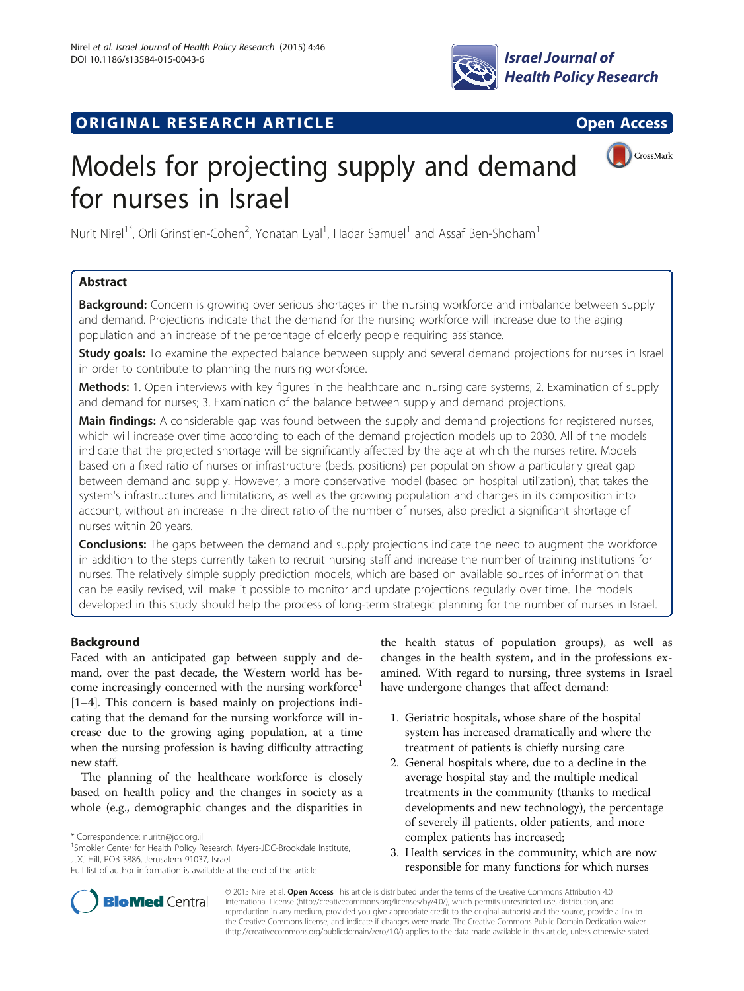

### **ORIGINAL RESEARCH ARTICLE CONSUMING ACCESS**



# Models for projecting supply and demand for nurses in Israel

Nurit Nirel<sup>1\*</sup>, Orli Grinstien-Cohen<sup>2</sup>, Yonatan Eyal<sup>1</sup>, Hadar Samuel<sup>1</sup> and Assaf Ben-Shoham<sup>1</sup>

#### Abstract

**Background:** Concern is growing over serious shortages in the nursing workforce and imbalance between supply and demand. Projections indicate that the demand for the nursing workforce will increase due to the aging population and an increase of the percentage of elderly people requiring assistance.

Study goals: To examine the expected balance between supply and several demand projections for nurses in Israel in order to contribute to planning the nursing workforce.

Methods: 1. Open interviews with key figures in the healthcare and nursing care systems; 2. Examination of supply and demand for nurses; 3. Examination of the balance between supply and demand projections.

Main findings: A considerable gap was found between the supply and demand projections for registered nurses, which will increase over time according to each of the demand projection models up to 2030. All of the models indicate that the projected shortage will be significantly affected by the age at which the nurses retire. Models based on a fixed ratio of nurses or infrastructure (beds, positions) per population show a particularly great gap between demand and supply. However, a more conservative model (based on hospital utilization), that takes the system's infrastructures and limitations, as well as the growing population and changes in its composition into account, without an increase in the direct ratio of the number of nurses, also predict a significant shortage of nurses within 20 years.

**Conclusions:** The gaps between the demand and supply projections indicate the need to augment the workforce in addition to the steps currently taken to recruit nursing staff and increase the number of training institutions for nurses. The relatively simple supply prediction models, which are based on available sources of information that can be easily revised, will make it possible to monitor and update projections regularly over time. The models developed in this study should help the process of long-term strategic planning for the number of nurses in Israel.

#### Background

Faced with an anticipated gap between supply and demand, over the past decade, the Western world has become increasingly concerned with the nursing workforce $<sup>1</sup>$ </sup> [[1](#page-10-0)–[4](#page-10-0)]. This concern is based mainly on projections indicating that the demand for the nursing workforce will increase due to the growing aging population, at a time when the nursing profession is having difficulty attracting new staff.

The planning of the healthcare workforce is closely based on health policy and the changes in society as a whole (e.g., demographic changes and the disparities in

<sup>1</sup>Smokler Center for Health Policy Research, Myers-JDC-Brookdale Institute, JDC Hill, POB 3886, Jerusalem 91037, Israel

the health status of population groups), as well as changes in the health system, and in the professions examined. With regard to nursing, three systems in Israel have undergone changes that affect demand:

- 1. Geriatric hospitals, whose share of the hospital system has increased dramatically and where the treatment of patients is chiefly nursing care
- 2. General hospitals where, due to a decline in the average hospital stay and the multiple medical treatments in the community (thanks to medical developments and new technology), the percentage of severely ill patients, older patients, and more complex patients has increased;
- 3. Health services in the community, which are now responsible for many functions for which nurses



© 2015 Nirel et al. Open Access This article is distributed under the terms of the Creative Commons Attribution 4.0 International License [\(http://creativecommons.org/licenses/by/4.0/](http://creativecommons.org/licenses/by/4.0/)), which permits unrestricted use, distribution, and reproduction in any medium, provided you give appropriate credit to the original author(s) and the source, provide a link to the Creative Commons license, and indicate if changes were made. The Creative Commons Public Domain Dedication waiver [\(http://creativecommons.org/publicdomain/zero/1.0/](http://creativecommons.org/publicdomain/zero/1.0/)) applies to the data made available in this article, unless otherwise stated.

<sup>\*</sup> Correspondence: [nuritn@jdc.org.il](mailto:nuritn@jdc.org.il) <sup>1</sup>

Full list of author information is available at the end of the article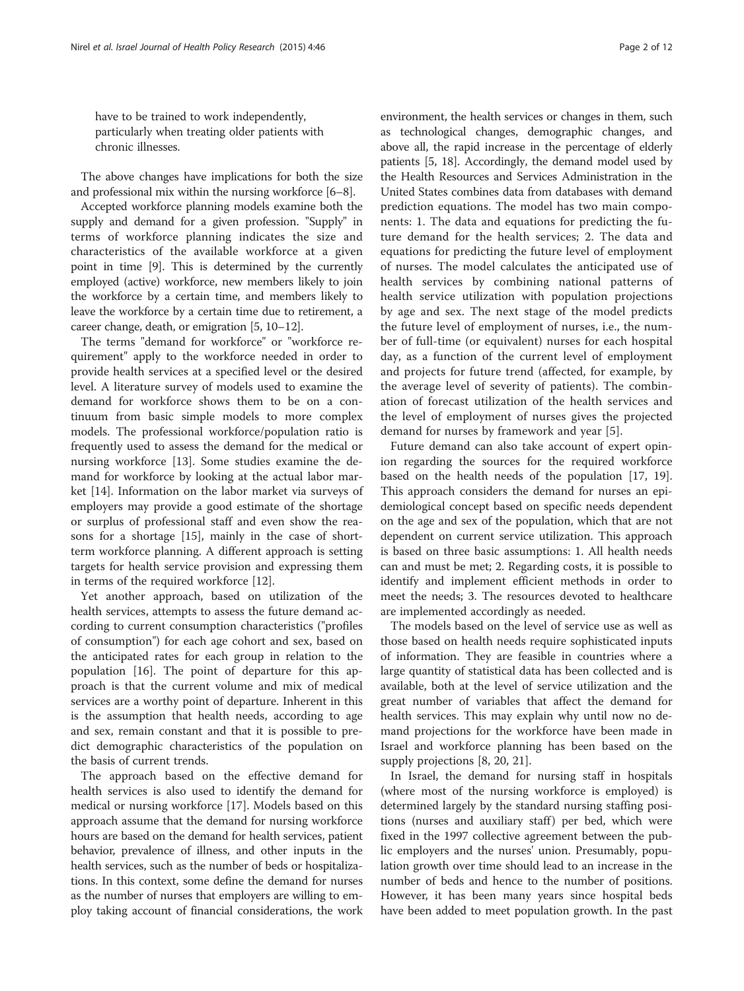have to be trained to work independently, particularly when treating older patients with chronic illnesses.

The above changes have implications for both the size and professional mix within the nursing workforce [\[6](#page-10-0)–[8\]](#page-10-0).

Accepted workforce planning models examine both the supply and demand for a given profession. "Supply" in terms of workforce planning indicates the size and characteristics of the available workforce at a given point in time [[9\]](#page-10-0). This is determined by the currently employed (active) workforce, new members likely to join the workforce by a certain time, and members likely to leave the workforce by a certain time due to retirement, a career change, death, or emigration [\[5](#page-10-0), [10](#page-10-0)–[12\]](#page-10-0).

The terms "demand for workforce" or "workforce requirement" apply to the workforce needed in order to provide health services at a specified level or the desired level. A literature survey of models used to examine the demand for workforce shows them to be on a continuum from basic simple models to more complex models. The professional workforce/population ratio is frequently used to assess the demand for the medical or nursing workforce [\[13\]](#page-10-0). Some studies examine the demand for workforce by looking at the actual labor market [[14\]](#page-10-0). Information on the labor market via surveys of employers may provide a good estimate of the shortage or surplus of professional staff and even show the reasons for a shortage [\[15\]](#page-11-0), mainly in the case of shortterm workforce planning. A different approach is setting targets for health service provision and expressing them in terms of the required workforce [[12\]](#page-10-0).

Yet another approach, based on utilization of the health services, attempts to assess the future demand according to current consumption characteristics ("profiles of consumption") for each age cohort and sex, based on the anticipated rates for each group in relation to the population [[16\]](#page-11-0). The point of departure for this approach is that the current volume and mix of medical services are a worthy point of departure. Inherent in this is the assumption that health needs, according to age and sex, remain constant and that it is possible to predict demographic characteristics of the population on the basis of current trends.

The approach based on the effective demand for health services is also used to identify the demand for medical or nursing workforce [[17](#page-11-0)]. Models based on this approach assume that the demand for nursing workforce hours are based on the demand for health services, patient behavior, prevalence of illness, and other inputs in the health services, such as the number of beds or hospitalizations. In this context, some define the demand for nurses as the number of nurses that employers are willing to employ taking account of financial considerations, the work

environment, the health services or changes in them, such as technological changes, demographic changes, and above all, the rapid increase in the percentage of elderly patients [\[5,](#page-10-0) [18](#page-11-0)]. Accordingly, the demand model used by the Health Resources and Services Administration in the United States combines data from databases with demand prediction equations. The model has two main components: 1. The data and equations for predicting the future demand for the health services; 2. The data and equations for predicting the future level of employment

of nurses. The model calculates the anticipated use of health services by combining national patterns of health service utilization with population projections by age and sex. The next stage of the model predicts the future level of employment of nurses, i.e., the number of full-time (or equivalent) nurses for each hospital day, as a function of the current level of employment and projects for future trend (affected, for example, by the average level of severity of patients). The combination of forecast utilization of the health services and the level of employment of nurses gives the projected demand for nurses by framework and year [\[5](#page-10-0)].

Future demand can also take account of expert opinion regarding the sources for the required workforce based on the health needs of the population [[17](#page-11-0), [19](#page-11-0)]. This approach considers the demand for nurses an epidemiological concept based on specific needs dependent on the age and sex of the population, which that are not dependent on current service utilization. This approach is based on three basic assumptions: 1. All health needs can and must be met; 2. Regarding costs, it is possible to identify and implement efficient methods in order to meet the needs; 3. The resources devoted to healthcare are implemented accordingly as needed.

The models based on the level of service use as well as those based on health needs require sophisticated inputs of information. They are feasible in countries where a large quantity of statistical data has been collected and is available, both at the level of service utilization and the great number of variables that affect the demand for health services. This may explain why until now no demand projections for the workforce have been made in Israel and workforce planning has been based on the supply projections [[8,](#page-10-0) [20](#page-11-0), [21](#page-11-0)].

In Israel, the demand for nursing staff in hospitals (where most of the nursing workforce is employed) is determined largely by the standard nursing staffing positions (nurses and auxiliary staff) per bed, which were fixed in the 1997 collective agreement between the public employers and the nurses' union. Presumably, population growth over time should lead to an increase in the number of beds and hence to the number of positions. However, it has been many years since hospital beds have been added to meet population growth. In the past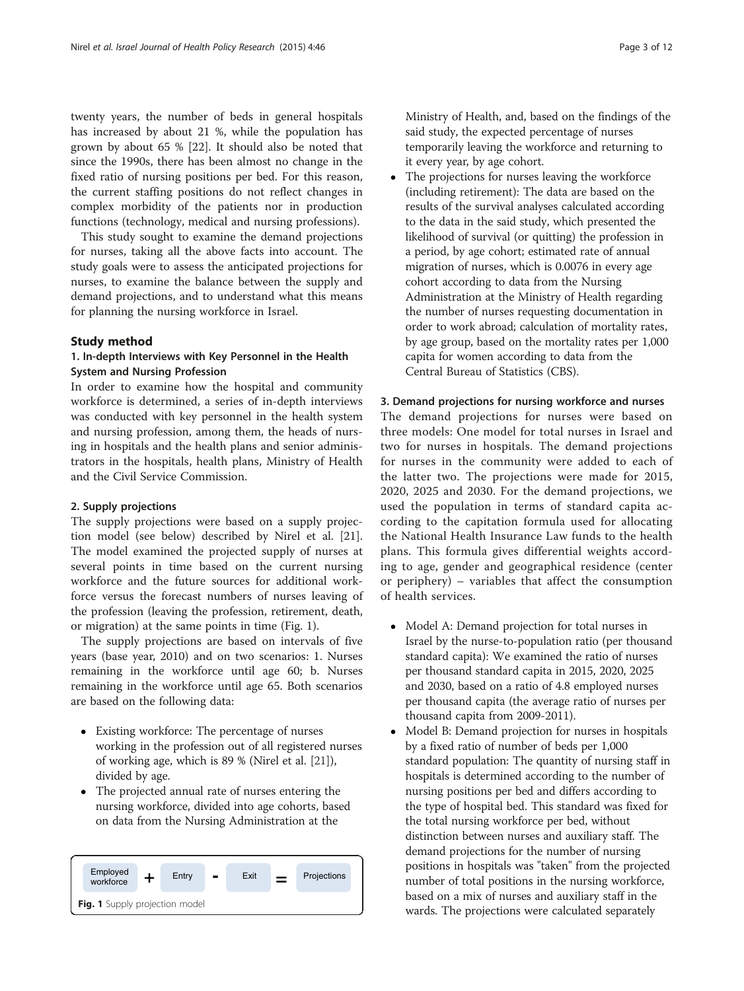twenty years, the number of beds in general hospitals has increased by about 21 %, while the population has grown by about 65 % [[22\]](#page-11-0). It should also be noted that since the 1990s, there has been almost no change in the fixed ratio of nursing positions per bed. For this reason, the current staffing positions do not reflect changes in complex morbidity of the patients nor in production functions (technology, medical and nursing professions).

This study sought to examine the demand projections for nurses, taking all the above facts into account. The study goals were to assess the anticipated projections for nurses, to examine the balance between the supply and demand projections, and to understand what this means for planning the nursing workforce in Israel.

#### Study method

#### 1. In-depth Interviews with Key Personnel in the Health System and Nursing Profession

In order to examine how the hospital and community workforce is determined, a series of in-depth interviews was conducted with key personnel in the health system and nursing profession, among them, the heads of nursing in hospitals and the health plans and senior administrators in the hospitals, health plans, Ministry of Health and the Civil Service Commission.

#### 2. Supply projections

The supply projections were based on a supply projection model (see below) described by Nirel et al. [\[21](#page-11-0)]. The model examined the projected supply of nurses at several points in time based on the current nursing workforce and the future sources for additional workforce versus the forecast numbers of nurses leaving of the profession (leaving the profession, retirement, death, or migration) at the same points in time (Fig. 1).

The supply projections are based on intervals of five years (base year, 2010) and on two scenarios: 1. Nurses remaining in the workforce until age 60; b. Nurses remaining in the workforce until age 65. Both scenarios are based on the following data:

- Existing workforce: The percentage of nurses working in the profession out of all registered nurses of working age, which is 89 % (Nirel et al. [[21](#page-11-0)]), divided by age.
- The projected annual rate of nurses entering the nursing workforce, divided into age cohorts, based on data from the Nursing Administration at the



Ministry of Health, and, based on the findings of the said study, the expected percentage of nurses temporarily leaving the workforce and returning to it every year, by age cohort.

 The projections for nurses leaving the workforce (including retirement): The data are based on the results of the survival analyses calculated according to the data in the said study, which presented the likelihood of survival (or quitting) the profession in a period, by age cohort; estimated rate of annual migration of nurses, which is 0.0076 in every age cohort according to data from the Nursing Administration at the Ministry of Health regarding the number of nurses requesting documentation in order to work abroad; calculation of mortality rates, by age group, based on the mortality rates per 1,000 capita for women according to data from the Central Bureau of Statistics (CBS).

#### 3. Demand projections for nursing workforce and nurses

The demand projections for nurses were based on three models: One model for total nurses in Israel and two for nurses in hospitals. The demand projections for nurses in the community were added to each of the latter two. The projections were made for 2015, 2020, 2025 and 2030. For the demand projections, we used the population in terms of standard capita according to the capitation formula used for allocating the National Health Insurance Law funds to the health plans. This formula gives differential weights according to age, gender and geographical residence (center or periphery) – variables that affect the consumption of health services.

- Model A: Demand projection for total nurses in Israel by the nurse-to-population ratio (per thousand standard capita): We examined the ratio of nurses per thousand standard capita in 2015, 2020, 2025 and 2030, based on a ratio of 4.8 employed nurses per thousand capita (the average ratio of nurses per thousand capita from 2009-2011).
- Model B: Demand projection for nurses in hospitals by a fixed ratio of number of beds per 1,000 standard population: The quantity of nursing staff in hospitals is determined according to the number of nursing positions per bed and differs according to the type of hospital bed. This standard was fixed for the total nursing workforce per bed, without distinction between nurses and auxiliary staff. The demand projections for the number of nursing positions in hospitals was "taken" from the projected number of total positions in the nursing workforce, based on a mix of nurses and auxiliary staff in the wards. The projections were calculated separately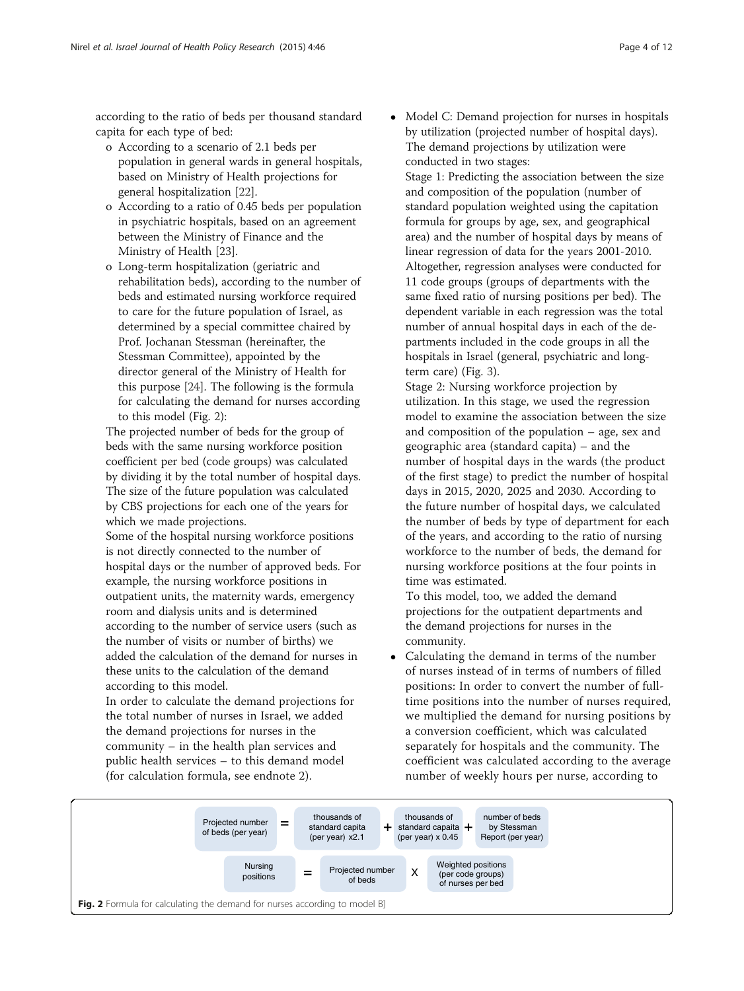according to the ratio of beds per thousand standard capita for each type of bed:

- o According to a scenario of 2.1 beds per population in general wards in general hospitals, based on Ministry of Health projections for general hospitalization [\[22\]](#page-11-0).
- o According to a ratio of 0.45 beds per population in psychiatric hospitals, based on an agreement between the Ministry of Finance and the Ministry of Health [[23](#page-11-0)].
- o Long-term hospitalization (geriatric and rehabilitation beds), according to the number of beds and estimated nursing workforce required to care for the future population of Israel, as determined by a special committee chaired by Prof. Jochanan Stessman (hereinafter, the Stessman Committee), appointed by the director general of the Ministry of Health for this purpose [\[24](#page-11-0)]. The following is the formula for calculating the demand for nurses according to this model (Fig. 2):

The projected number of beds for the group of beds with the same nursing workforce position coefficient per bed (code groups) was calculated by dividing it by the total number of hospital days. The size of the future population was calculated by CBS projections for each one of the years for which we made projections.

Some of the hospital nursing workforce positions is not directly connected to the number of hospital days or the number of approved beds. For example, the nursing workforce positions in outpatient units, the maternity wards, emergency room and dialysis units and is determined according to the number of service users (such as the number of visits or number of births) we added the calculation of the demand for nurses in these units to the calculation of the demand according to this model.

In order to calculate the demand projections for the total number of nurses in Israel, we added the demand projections for nurses in the community – in the health plan services and public health services – to this demand model (for calculation formula, see endnote 2).

 Model C: Demand projection for nurses in hospitals by utilization (projected number of hospital days). The demand projections by utilization were conducted in two stages:

Stage 1: Predicting the association between the size and composition of the population (number of standard population weighted using the capitation formula for groups by age, sex, and geographical area) and the number of hospital days by means of linear regression of data for the years 2001-2010. Altogether, regression analyses were conducted for 11 code groups (groups of departments with the same fixed ratio of nursing positions per bed). The dependent variable in each regression was the total number of annual hospital days in each of the departments included in the code groups in all the hospitals in Israel (general, psychiatric and longterm care) (Fig. [3\)](#page-4-0).

Stage 2: Nursing workforce projection by utilization. In this stage, we used the regression model to examine the association between the size and composition of the population – age, sex and geographic area (standard capita) – and the number of hospital days in the wards (the product of the first stage) to predict the number of hospital days in 2015, 2020, 2025 and 2030. According to the future number of hospital days, we calculated the number of beds by type of department for each of the years, and according to the ratio of nursing workforce to the number of beds, the demand for nursing workforce positions at the four points in time was estimated.

To this model, too, we added the demand projections for the outpatient departments and the demand projections for nurses in the community.

 Calculating the demand in terms of the number of nurses instead of in terms of numbers of filled positions: In order to convert the number of fulltime positions into the number of nurses required, we multiplied the demand for nursing positions by a conversion coefficient, which was calculated separately for hospitals and the community. The coefficient was calculated according to the average number of weekly hours per nurse, according to

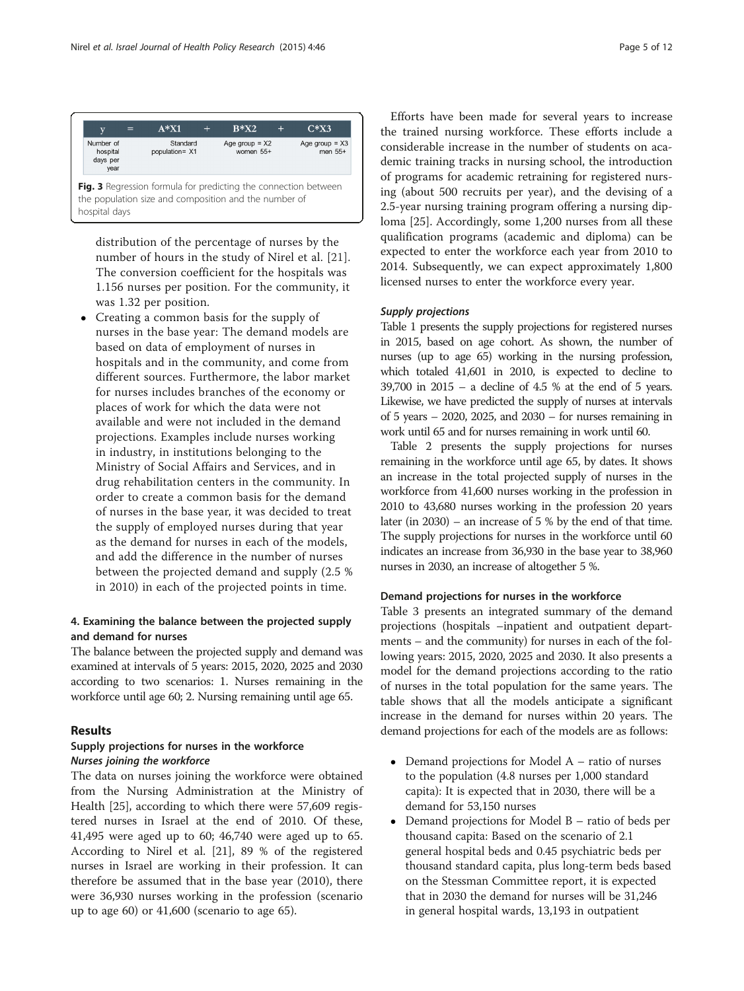<span id="page-4-0"></span>

| $\overline{\mathbf{v}}$<br>Number of | $A*X1$<br>Standard | $B*X2$<br>Age group $= X2$ | $C*X3$<br>Age group $= X3$ |
|--------------------------------------|--------------------|----------------------------|----------------------------|
| hospital<br>days per<br>year         | population= X1     | women 55+                  | men 55+                    |

distribution of the percentage of nurses by the number of hours in the study of Nirel et al. [[21](#page-11-0)].

hospital days

- The conversion coefficient for the hospitals was 1.156 nurses per position. For the community, it was 1.32 per position.
- Creating a common basis for the supply of nurses in the base year: The demand models are based on data of employment of nurses in hospitals and in the community, and come from different sources. Furthermore, the labor market for nurses includes branches of the economy or places of work for which the data were not available and were not included in the demand projections. Examples include nurses working in industry, in institutions belonging to the Ministry of Social Affairs and Services, and in drug rehabilitation centers in the community. In order to create a common basis for the demand of nurses in the base year, it was decided to treat the supply of employed nurses during that year as the demand for nurses in each of the models, and add the difference in the number of nurses between the projected demand and supply (2.5 % in 2010) in each of the projected points in time.

#### 4. Examining the balance between the projected supply and demand for nurses

The balance between the projected supply and demand was examined at intervals of 5 years: 2015, 2020, 2025 and 2030 according to two scenarios: 1. Nurses remaining in the workforce until age 60; 2. Nursing remaining until age 65.

#### Results

## Supply projections for nurses in the workforce

The data on nurses joining the workforce were obtained from the Nursing Administration at the Ministry of Health [\[25](#page-11-0)], according to which there were 57,609 registered nurses in Israel at the end of 2010. Of these, 41,495 were aged up to 60; 46,740 were aged up to 65. According to Nirel et al. [[21\]](#page-11-0), 89 % of the registered nurses in Israel are working in their profession. It can therefore be assumed that in the base year (2010), there were 36,930 nurses working in the profession (scenario up to age 60) or 41,600 (scenario to age 65).

Efforts have been made for several years to increase the trained nursing workforce. These efforts include a considerable increase in the number of students on academic training tracks in nursing school, the introduction of programs for academic retraining for registered nursing (about 500 recruits per year), and the devising of a 2.5-year nursing training program offering a nursing diploma [\[25\]](#page-11-0). Accordingly, some 1,200 nurses from all these qualification programs (academic and diploma) can be expected to enter the workforce each year from 2010 to 2014. Subsequently, we can expect approximately 1,800 licensed nurses to enter the workforce every year.

Table [1](#page-5-0) presents the supply projections for registered nurses in 2015, based on age cohort. As shown, the number of nurses (up to age 65) working in the nursing profession, which totaled 41,601 in 2010, is expected to decline to 39,700 in 2015 – a decline of 4.5 % at the end of 5 years. Likewise, we have predicted the supply of nurses at intervals of 5 years – 2020, 2025, and 2030 – for nurses remaining in work until 65 and for nurses remaining in work until 60.

Table [2](#page-5-0) presents the supply projections for nurses remaining in the workforce until age 65, by dates. It shows an increase in the total projected supply of nurses in the workforce from 41,600 nurses working in the profession in 2010 to 43,680 nurses working in the profession 20 years later (in 2030) – an increase of 5 % by the end of that time. The supply projections for nurses in the workforce until 60 indicates an increase from 36,930 in the base year to 38,960 nurses in 2030, an increase of altogether 5 %.

#### Demand projections for nurses in the workforce

Table [3](#page-6-0) presents an integrated summary of the demand projections (hospitals –inpatient and outpatient departments – and the community) for nurses in each of the following years: 2015, 2020, 2025 and 2030. It also presents a model for the demand projections according to the ratio of nurses in the total population for the same years. The table shows that all the models anticipate a significant increase in the demand for nurses within 20 years. The demand projections for each of the models are as follows:

- Demand projections for Model A ratio of nurses to the population (4.8 nurses per 1,000 standard capita): It is expected that in 2030, there will be a demand for 53,150 nurses
- Demand projections for Model B ratio of beds per thousand capita: Based on the scenario of 2.1 general hospital beds and 0.45 psychiatric beds per thousand standard capita, plus long-term beds based on the Stessman Committee report, it is expected that in 2030 the demand for nurses will be 31,246 in general hospital wards, 13,193 in outpatient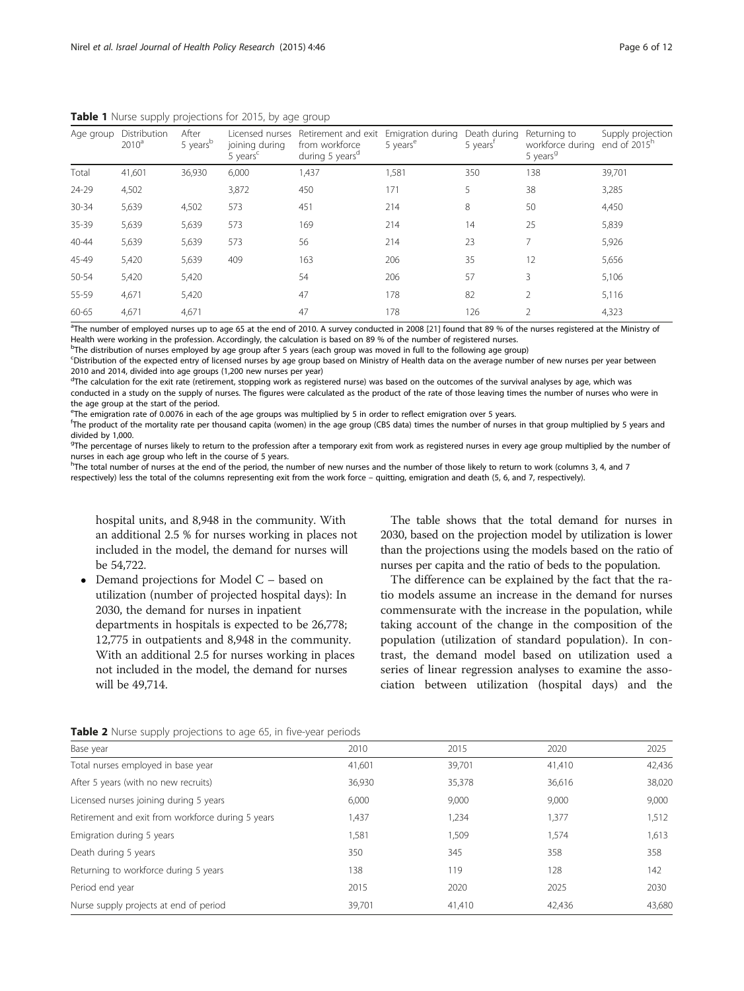| Age group | Distribution<br>2010 <sup>a</sup> | After<br>5 years <sup>b</sup> | Licensed nurses<br>joining during<br>5 years <sup>c</sup> | Retirement and exit<br>from workforce<br>during 5 years <sup>d</sup> | Emigration during<br>5 years <sup>e</sup> | Death during<br>5 years <sup>t</sup> | Returning to<br>workforce during<br>5 years <sup>9</sup> | Supply projection<br>end of 2015 <sup>h</sup> |
|-----------|-----------------------------------|-------------------------------|-----------------------------------------------------------|----------------------------------------------------------------------|-------------------------------------------|--------------------------------------|----------------------------------------------------------|-----------------------------------------------|
| Total     | 41,601                            | 36,930                        | 6,000                                                     | 1,437                                                                | 1,581                                     | 350                                  | 138                                                      | 39,701                                        |
| 24-29     | 4,502                             |                               | 3,872                                                     | 450                                                                  | 171                                       | 5                                    | 38                                                       | 3,285                                         |
| 30-34     | 5,639                             | 4,502                         | 573                                                       | 451                                                                  | 214                                       | 8                                    | 50                                                       | 4,450                                         |
| 35-39     | 5,639                             | 5,639                         | 573                                                       | 169                                                                  | 214                                       | 14                                   | 25                                                       | 5,839                                         |
| $40 - 44$ | 5,639                             | 5,639                         | 573                                                       | 56                                                                   | 214                                       | 23                                   | 7                                                        | 5,926                                         |
| 45-49     | 5,420                             | 5,639                         | 409                                                       | 163                                                                  | 206                                       | 35                                   | 12                                                       | 5,656                                         |
| 50-54     | 5,420                             | 5,420                         |                                                           | 54                                                                   | 206                                       | 57                                   | 3                                                        | 5,106                                         |
| 55-59     | 4,671                             | 5,420                         |                                                           | 47                                                                   | 178                                       | 82                                   | 2                                                        | 5,116                                         |
| 60-65     | 4,671                             | 4,671                         |                                                           | 47                                                                   | 178                                       | 126                                  | 2                                                        | 4,323                                         |

<span id="page-5-0"></span>

| Table 1 Nurse supply projections for 2015, by age group |  |  |  |  |  |  |
|---------------------------------------------------------|--|--|--|--|--|--|
|---------------------------------------------------------|--|--|--|--|--|--|

<sup>a</sup>The number of employed nurses up to age 65 at the end of 2010. A survey conducted in 2008 [[21\]](#page-11-0) found that 89 % of the nurses registered at the Ministry of Health were working in the profession. Accordingly, the calculation is based on 89 % of the number of registered nurses.

<sup>b</sup>The distribution of nurses employed by age group after 5 years (each group was moved in full to the following age group)

c Distribution of the expected entry of licensed nurses by age group based on Ministry of Health data on the average number of new nurses per year between 2010 and 2014, divided into age groups (1,200 new nurses per year)

<sup>d</sup>The calculation for the exit rate (retirement, stopping work as registered nurse) was based on the outcomes of the survival analyses by age, which was conducted in a study on the supply of nurses. The figures were calculated as the product of the rate of those leaving times the number of nurses who were in the age group at the start of the period.

<sup>e</sup>The emigration rate of 0.0076 in each of the age groups was multiplied by 5 in order to reflect emigration over 5 years.

f The product of the mortality rate per thousand capita (women) in the age group (CBS data) times the number of nurses in that group multiplied by 5 years and divided by 1,000.

<sup>9</sup>The percentage of nurses likely to return to the profession after a temporary exit from work as registered nurses in every age group multiplied by the number of nurses in each age group who left in the course of 5 years.

<sup>h</sup>The total number of nurses at the end of the period, the number of new nurses and the number of those likely to return to work (columns 3, 4, and 7

respectively) less the total of the columns representing exit from the work force – quitting, emigration and death (5, 6, and 7, respectively).

hospital units, and 8,948 in the community. With an additional 2.5 % for nurses working in places not included in the model, the demand for nurses will be 54,722.

 Demand projections for Model C – based on utilization (number of projected hospital days): In 2030, the demand for nurses in inpatient departments in hospitals is expected to be 26,778; 12,775 in outpatients and 8,948 in the community. With an additional 2.5 for nurses working in places not included in the model, the demand for nurses will be 49,714.

The table shows that the total demand for nurses in 2030, based on the projection model by utilization is lower than the projections using the models based on the ratio of nurses per capita and the ratio of beds to the population.

The difference can be explained by the fact that the ratio models assume an increase in the demand for nurses commensurate with the increase in the population, while taking account of the change in the composition of the population (utilization of standard population). In contrast, the demand model based on utilization used a series of linear regression analyses to examine the association between utilization (hospital days) and the

| Base year                                         | 2010   | 2015   | 2020   | 2025   |
|---------------------------------------------------|--------|--------|--------|--------|
| Total nurses employed in base year                | 41,601 | 39,701 | 41,410 | 42,436 |
| After 5 years (with no new recruits)              | 36,930 | 35,378 | 36,616 | 38,020 |
| Licensed nurses joining during 5 years            | 6,000  | 9,000  | 9,000  | 9,000  |
| Retirement and exit from workforce during 5 years | 1,437  | 1,234  | 1,377  | 1,512  |
| Emigration during 5 years                         | 1,581  | 1,509  | 1,574  | 1,613  |
| Death during 5 years                              | 350    | 345    | 358    | 358    |
| Returning to workforce during 5 years             | 138    | 119    | 128    | 142    |
| Period end year                                   | 2015   | 2020   | 2025   | 2030   |
| Nurse supply projects at end of period            | 39.701 | 41,410 | 42.436 | 43.680 |

Table 2 Nurse supply projections to age 65, in five-year periods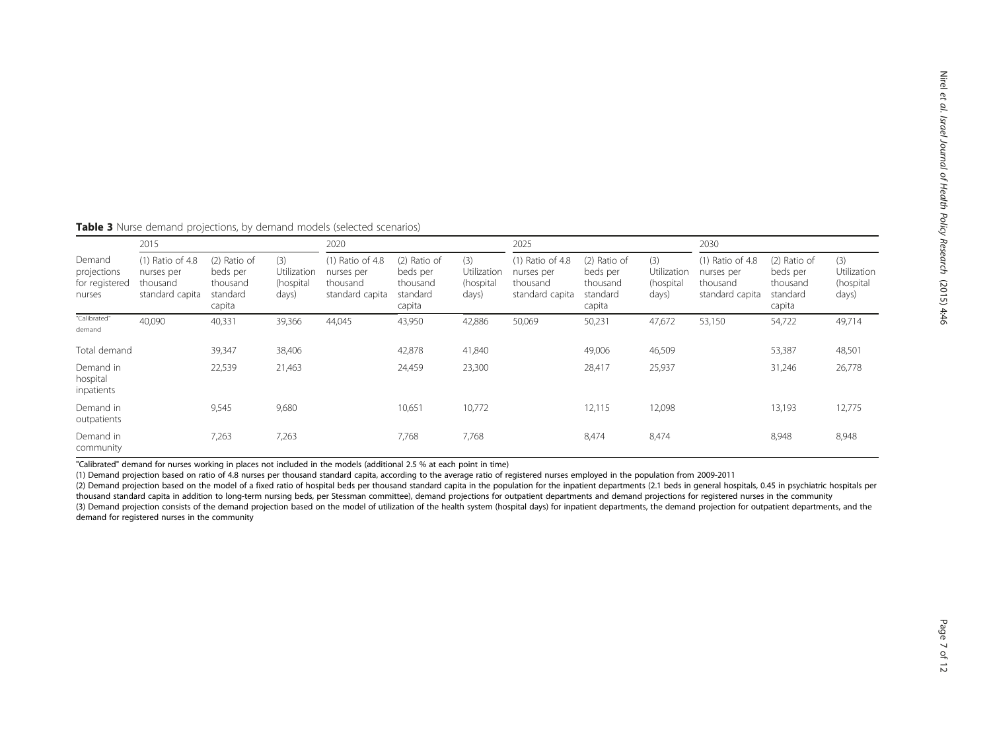(3) Utilization (hospital days)

|                                                   | 2015                                                            |                                                              |                                          | 2020                                                          |                                                            |                                          | 2025                                                            |                                                            |                                          | 2030                                                            |                                                            |                                   |
|---------------------------------------------------|-----------------------------------------------------------------|--------------------------------------------------------------|------------------------------------------|---------------------------------------------------------------|------------------------------------------------------------|------------------------------------------|-----------------------------------------------------------------|------------------------------------------------------------|------------------------------------------|-----------------------------------------------------------------|------------------------------------------------------------|-----------------------------------|
| Demand<br>projections<br>for registered<br>nurses | $(1)$ Ratio of 4.8<br>nurses per<br>thousand<br>standard capita | $(2)$ Ratio of<br>beds per<br>thousand<br>standard<br>capita | (3)<br>Utilization<br>(hospital<br>days) | (1) Ratio of 4.8<br>nurses per<br>thousand<br>standard capita | (2) Ratio of<br>beds per<br>thousand<br>standard<br>capita | (3)<br>Utilization<br>(hospital<br>days) | $(1)$ Ratio of 4.8<br>nurses per<br>thousand<br>standard capita | (2) Ratio of<br>beds per<br>thousand<br>standard<br>capita | (3)<br>Utilization<br>(hospital<br>days) | $(1)$ Ratio of 4.8<br>nurses per<br>thousand<br>standard capita | (2) Ratio of<br>beds per<br>thousand<br>standard<br>capita | (3)<br>Utiliza<br>(hospi<br>days) |
| "Calibrated"<br>demand                            | 40,090                                                          | 40,331                                                       | 39,366                                   | 44,045                                                        | 43,950                                                     | 42,886                                   | 50,069                                                          | 50,231                                                     | 47,672                                   | 53,150                                                          | 54,722                                                     | 49,714                            |
| Total demand                                      |                                                                 | 39,347                                                       | 38,406                                   |                                                               | 42.878                                                     | 41,840                                   |                                                                 | 49,006                                                     | 46,509                                   |                                                                 | 53,387                                                     | 48,501                            |
| Demand in                                         |                                                                 | 22.539                                                       | 21.463                                   |                                                               | 24.459                                                     | 23,300                                   |                                                                 | 28.417                                                     | 25.937                                   |                                                                 | 31.246                                                     | 26,778                            |

#### <span id="page-6-0"></span>Table 3 Nurse demand projections, by demand models (selected scenarios)

hospital inpatients

Demand in outpatients

Demand in community

"Calibrated" demand for nurses working in places not included in the models (additional 2.5 % at each point in time)

(1) Demand projection based on ratio of 4.8 nurses per thousand standard capita, according to the average ratio of registered nurses employed in the population from 2009-2011

(2) Demand projection based on the model of a fixed ratio of hospital beds per thousand standard capita in the population for the inpatient departments (2.1 beds in general hospitals, 0.45 in psychiatric hospitals per thousand standard capita in addition to long-term nursing beds, per Stessman committee), demand projections for outpatient departments and demand projections for registered nurses in the community (3) Demand projection consists of the demand projection based on the model of utilization of the health system (hospital days) for inpatient departments, the demand projection for outpatient departments, and the demand for registered nurses in the community

9,545 9,680 10,651 10,772 12,115 12,098 13,193 12,775

7,263 7,263 7,768 7,768 8,474 8,474 8,948 8,948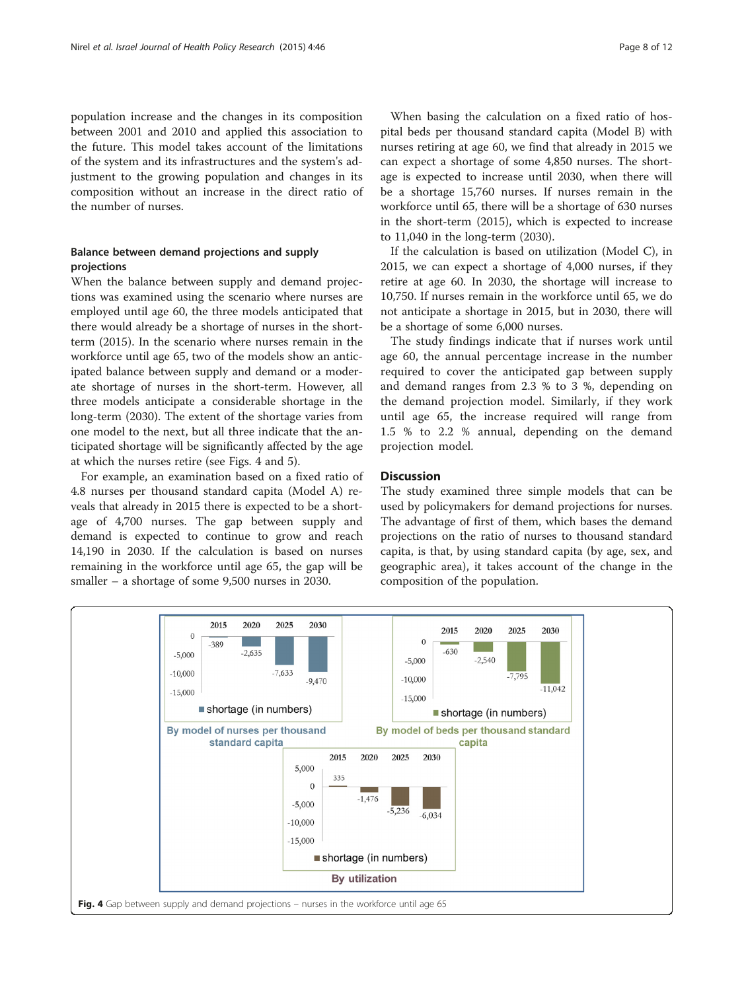population increase and the changes in its composition between 2001 and 2010 and applied this association to the future. This model takes account of the limitations of the system and its infrastructures and the system's adjustment to the growing population and changes in its composition without an increase in the direct ratio of the number of nurses.

#### Balance between demand projections and supply projections

When the balance between supply and demand projections was examined using the scenario where nurses are employed until age 60, the three models anticipated that there would already be a shortage of nurses in the shortterm (2015). In the scenario where nurses remain in the workforce until age 65, two of the models show an anticipated balance between supply and demand or a moderate shortage of nurses in the short-term. However, all three models anticipate a considerable shortage in the long-term (2030). The extent of the shortage varies from one model to the next, but all three indicate that the anticipated shortage will be significantly affected by the age at which the nurses retire (see Figs. 4 and [5](#page-8-0)).

For example, an examination based on a fixed ratio of 4.8 nurses per thousand standard capita (Model A) reveals that already in 2015 there is expected to be a shortage of 4,700 nurses. The gap between supply and demand is expected to continue to grow and reach 14,190 in 2030. If the calculation is based on nurses remaining in the workforce until age 65, the gap will be smaller – a shortage of some 9,500 nurses in 2030.

When basing the calculation on a fixed ratio of hospital beds per thousand standard capita (Model B) with nurses retiring at age 60, we find that already in 2015 we can expect a shortage of some 4,850 nurses. The shortage is expected to increase until 2030, when there will be a shortage 15,760 nurses. If nurses remain in the workforce until 65, there will be a shortage of 630 nurses in the short-term (2015), which is expected to increase to 11,040 in the long-term (2030).

If the calculation is based on utilization (Model C), in 2015, we can expect a shortage of 4,000 nurses, if they retire at age 60. In 2030, the shortage will increase to 10,750. If nurses remain in the workforce until 65, we do not anticipate a shortage in 2015, but in 2030, there will be a shortage of some 6,000 nurses.

The study findings indicate that if nurses work until age 60, the annual percentage increase in the number required to cover the anticipated gap between supply and demand ranges from 2.3 % to 3 %, depending on the demand projection model. Similarly, if they work until age 65, the increase required will range from 1.5 % to 2.2 % annual, depending on the demand projection model.

#### **Discussion**

The study examined three simple models that can be used by policymakers for demand projections for nurses. The advantage of first of them, which bases the demand projections on the ratio of nurses to thousand standard capita, is that, by using standard capita (by age, sex, and geographic area), it takes account of the change in the composition of the population.

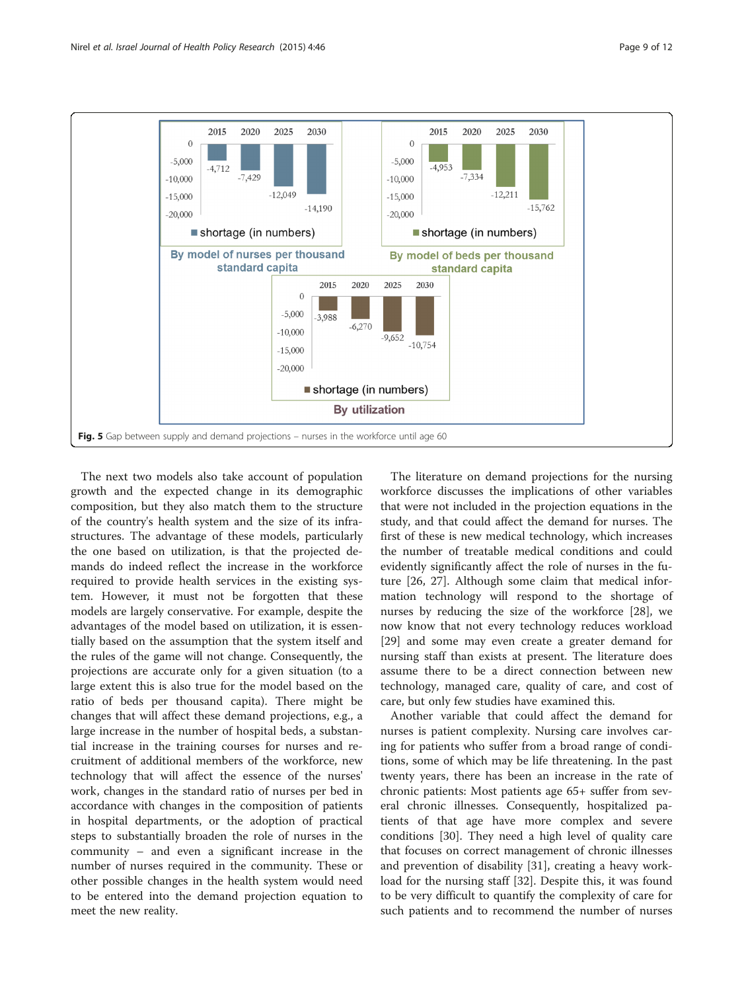<span id="page-8-0"></span>

The next two models also take account of population growth and the expected change in its demographic composition, but they also match them to the structure of the country's health system and the size of its infrastructures. The advantage of these models, particularly the one based on utilization, is that the projected demands do indeed reflect the increase in the workforce required to provide health services in the existing system. However, it must not be forgotten that these models are largely conservative. For example, despite the advantages of the model based on utilization, it is essentially based on the assumption that the system itself and the rules of the game will not change. Consequently, the projections are accurate only for a given situation (to a large extent this is also true for the model based on the ratio of beds per thousand capita). There might be changes that will affect these demand projections, e.g., a large increase in the number of hospital beds, a substantial increase in the training courses for nurses and recruitment of additional members of the workforce, new technology that will affect the essence of the nurses' work, changes in the standard ratio of nurses per bed in accordance with changes in the composition of patients in hospital departments, or the adoption of practical steps to substantially broaden the role of nurses in the community – and even a significant increase in the number of nurses required in the community. These or other possible changes in the health system would need to be entered into the demand projection equation to meet the new reality.

The literature on demand projections for the nursing workforce discusses the implications of other variables that were not included in the projection equations in the study, and that could affect the demand for nurses. The first of these is new medical technology, which increases the number of treatable medical conditions and could evidently significantly affect the role of nurses in the future [[26, 27\]](#page-11-0). Although some claim that medical information technology will respond to the shortage of nurses by reducing the size of the workforce [\[28](#page-11-0)], we now know that not every technology reduces workload [[29\]](#page-11-0) and some may even create a greater demand for nursing staff than exists at present. The literature does assume there to be a direct connection between new technology, managed care, quality of care, and cost of care, but only few studies have examined this.

Another variable that could affect the demand for nurses is patient complexity. Nursing care involves caring for patients who suffer from a broad range of conditions, some of which may be life threatening. In the past twenty years, there has been an increase in the rate of chronic patients: Most patients age 65+ suffer from several chronic illnesses. Consequently, hospitalized patients of that age have more complex and severe conditions [\[30\]](#page-11-0). They need a high level of quality care that focuses on correct management of chronic illnesses and prevention of disability [\[31](#page-11-0)], creating a heavy workload for the nursing staff [\[32](#page-11-0)]. Despite this, it was found to be very difficult to quantify the complexity of care for such patients and to recommend the number of nurses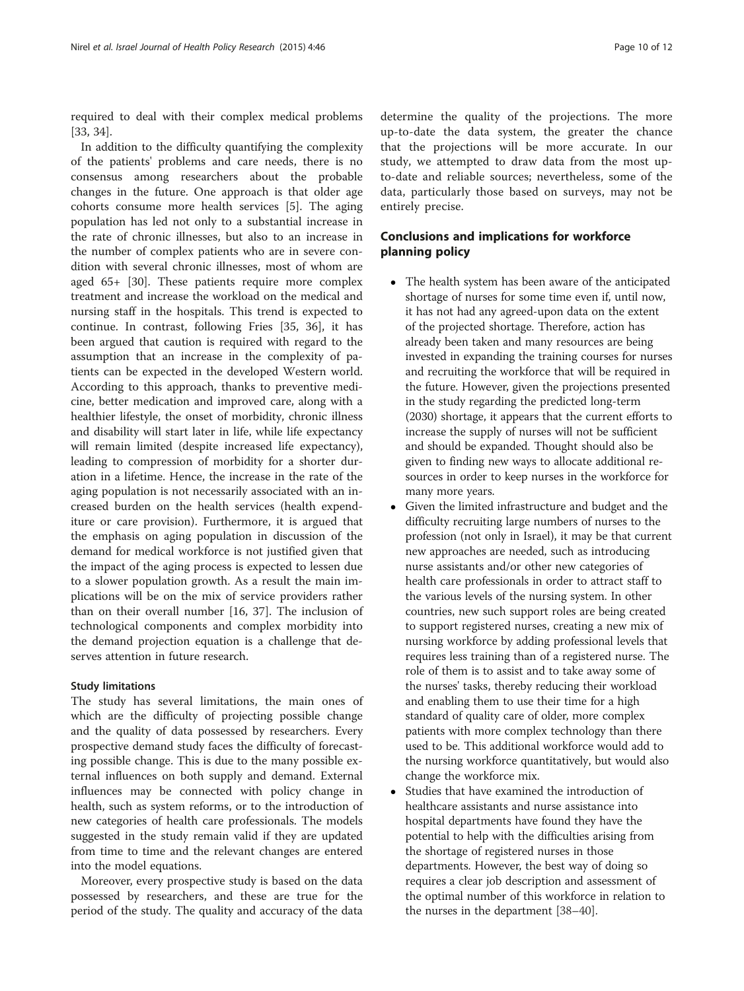required to deal with their complex medical problems [[33, 34\]](#page-11-0).

In addition to the difficulty quantifying the complexity of the patients' problems and care needs, there is no consensus among researchers about the probable changes in the future. One approach is that older age cohorts consume more health services [[5\]](#page-10-0). The aging population has led not only to a substantial increase in the rate of chronic illnesses, but also to an increase in the number of complex patients who are in severe condition with several chronic illnesses, most of whom are aged 65+ [\[30](#page-11-0)]. These patients require more complex treatment and increase the workload on the medical and nursing staff in the hospitals. This trend is expected to continue. In contrast, following Fries [\[35](#page-11-0), [36\]](#page-11-0), it has been argued that caution is required with regard to the assumption that an increase in the complexity of patients can be expected in the developed Western world. According to this approach, thanks to preventive medicine, better medication and improved care, along with a healthier lifestyle, the onset of morbidity, chronic illness and disability will start later in life, while life expectancy will remain limited (despite increased life expectancy), leading to compression of morbidity for a shorter duration in a lifetime. Hence, the increase in the rate of the aging population is not necessarily associated with an increased burden on the health services (health expenditure or care provision). Furthermore, it is argued that the emphasis on aging population in discussion of the demand for medical workforce is not justified given that the impact of the aging process is expected to lessen due to a slower population growth. As a result the main implications will be on the mix of service providers rather than on their overall number [[16](#page-11-0), [37](#page-11-0)]. The inclusion of technological components and complex morbidity into the demand projection equation is a challenge that deserves attention in future research.

#### Study limitations

The study has several limitations, the main ones of which are the difficulty of projecting possible change and the quality of data possessed by researchers. Every prospective demand study faces the difficulty of forecasting possible change. This is due to the many possible external influences on both supply and demand. External influences may be connected with policy change in health, such as system reforms, or to the introduction of new categories of health care professionals. The models suggested in the study remain valid if they are updated from time to time and the relevant changes are entered into the model equations.

Moreover, every prospective study is based on the data possessed by researchers, and these are true for the period of the study. The quality and accuracy of the data determine the quality of the projections. The more up-to-date the data system, the greater the chance that the projections will be more accurate. In our study, we attempted to draw data from the most upto-date and reliable sources; nevertheless, some of the data, particularly those based on surveys, may not be entirely precise.

#### Conclusions and implications for workforce planning policy

- The health system has been aware of the anticipated shortage of nurses for some time even if, until now, it has not had any agreed-upon data on the extent of the projected shortage. Therefore, action has already been taken and many resources are being invested in expanding the training courses for nurses and recruiting the workforce that will be required in the future. However, given the projections presented in the study regarding the predicted long-term (2030) shortage, it appears that the current efforts to increase the supply of nurses will not be sufficient and should be expanded. Thought should also be given to finding new ways to allocate additional resources in order to keep nurses in the workforce for many more years.
- Given the limited infrastructure and budget and the difficulty recruiting large numbers of nurses to the profession (not only in Israel), it may be that current new approaches are needed, such as introducing nurse assistants and/or other new categories of health care professionals in order to attract staff to the various levels of the nursing system. In other countries, new such support roles are being created to support registered nurses, creating a new mix of nursing workforce by adding professional levels that requires less training than of a registered nurse. The role of them is to assist and to take away some of the nurses' tasks, thereby reducing their workload and enabling them to use their time for a high standard of quality care of older, more complex patients with more complex technology than there used to be. This additional workforce would add to the nursing workforce quantitatively, but would also change the workforce mix.
- Studies that have examined the introduction of healthcare assistants and nurse assistance into hospital departments have found they have the potential to help with the difficulties arising from the shortage of registered nurses in those departments. However, the best way of doing so requires a clear job description and assessment of the optimal number of this workforce in relation to the nurses in the department [\[38](#page-11-0)–[40](#page-11-0)].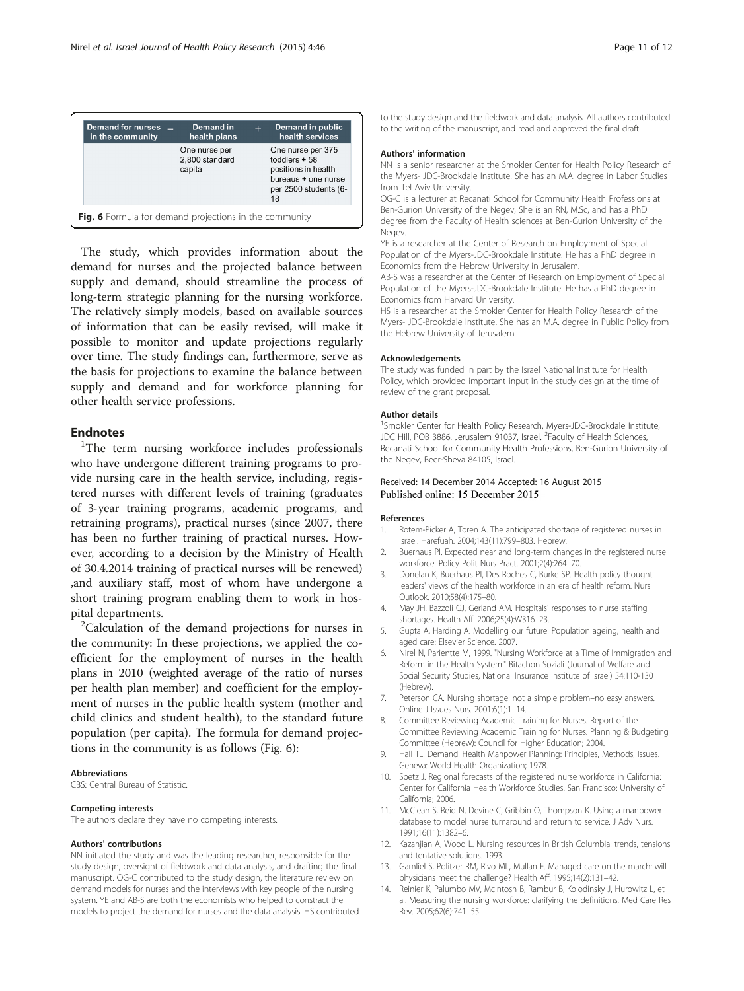<span id="page-10-0"></span>

| <b>Demand for nurses</b><br>$\equiv$<br>in the community | Demand in<br>health plans                 | <b>Demand in public</b><br>health services                                                                       |
|----------------------------------------------------------|-------------------------------------------|------------------------------------------------------------------------------------------------------------------|
|                                                          | One nurse per<br>2.800 standard<br>capita | One nurse per 375<br>toddlers $+58$<br>positions in health<br>bureaus + one nurse<br>per 2500 students (6-<br>18 |

The study, which provides information about the demand for nurses and the projected balance between supply and demand, should streamline the process of long-term strategic planning for the nursing workforce. The relatively simply models, based on available sources of information that can be easily revised, will make it possible to monitor and update projections regularly over time. The study findings can, furthermore, serve as the basis for projections to examine the balance between supply and demand and for workforce planning for other health service professions.

#### **Endnotes**

<sup>1</sup>The term nursing workforce includes professionals who have undergone different training programs to provide nursing care in the health service, including, registered nurses with different levels of training (graduates of 3-year training programs, academic programs, and retraining programs), practical nurses (since 2007, there has been no further training of practical nurses. However, according to a decision by the Ministry of Health of 30.4.2014 training of practical nurses will be renewed) ,and auxiliary staff, most of whom have undergone a short training program enabling them to work in hospital departments. <sup>2</sup>

 $^{2}$ Calculation of the demand projections for nurses in the community: In these projections, we applied the coefficient for the employment of nurses in the health plans in 2010 (weighted average of the ratio of nurses per health plan member) and coefficient for the employment of nurses in the public health system (mother and child clinics and student health), to the standard future population (per capita). The formula for demand projections in the community is as follows (Fig. 6):

#### Abbreviations

CBS: Central Bureau of Statistic.

#### Competing interests

The authors declare they have no competing interests.

#### Authors' contributions

NN initiated the study and was the leading researcher, responsible for the study design, oversight of fieldwork and data analysis, and drafting the final manuscript. OG-C contributed to the study design, the literature review on demand models for nurses and the interviews with key people of the nursing system. YE and AB-S are both the economists who helped to constract the models to project the demand for nurses and the data analysis. HS contributed

to the study design and the fieldwork and data analysis. All authors contributed to the writing of the manuscript, and read and approved the final draft.

#### Authors' information

NN is a senior researcher at the Smokler Center for Health Policy Research of the Myers- JDC-Brookdale Institute. She has an M.A. degree in Labor Studies from Tel Aviv University.

OG-C is a lecturer at Recanati School for Community Health Professions at Ben-Gurion University of the Negev, She is an RN, M.Sc, and has a PhD degree from the Faculty of Health sciences at Ben-Gurion University of the Negev.

YE is a researcher at the Center of Research on Employment of Special Population of the Myers-JDC-Brookdale Institute. He has a PhD degree in Economics from the Hebrow University in Jerusalem.

AB-S was a researcher at the Center of Research on Employment of Special Population of the Myers-JDC-Brookdale Institute. He has a PhD degree in Economics from Harvard University.

HS is a researcher at the Smokler Center for Health Policy Research of the Myers- JDC-Brookdale Institute. She has an M.A. degree in Public Policy from the Hebrew University of Jerusalem.

#### Acknowledgements

The study was funded in part by the Israel National Institute for Health Policy, which provided important input in the study design at the time of review of the grant proposal.

#### Author details

<sup>1</sup>Smokler Center for Health Policy Research, Myers-JDC-Brookdale Institute, JDC Hill, POB 3886, Jerusalem 91037, Israel. <sup>2</sup> Faculty of Health Sciences, Recanati School for Community Health Professions, Ben-Gurion University of the Negev, Beer-Sheva 84105, Israel.

#### Received: 14 December 2014 Accepted: 16 August 2015 Published online: 15 December 2015

#### References

- 1. Rotem-Picker A, Toren A. The anticipated shortage of registered nurses in Israel. Harefuah. 2004;143(11):799–803. Hebrew.
- 2. Buerhaus PI. Expected near and long-term changes in the registered nurse workforce. Policy Polit Nurs Pract. 2001;2(4):264–70.
- 3. Donelan K, Buerhaus PI, Des Roches C, Burke SP. Health policy thought leaders' views of the health workforce in an era of health reform. Nurs Outlook. 2010;58(4):175–80.
- 4. May JH, Bazzoli GJ, Gerland AM. Hospitals' responses to nurse staffing shortages. Health Aff. 2006;25(4):W316–23.
- 5. Gupta A, Harding A. Modelling our future: Population ageing, health and aged care: Elsevier Science. 2007.
- 6. Nirel N, Parientte M, 1999. "Nursing Workforce at a Time of Immigration and Reform in the Health System." Bitachon Soziali (Journal of Welfare and Social Security Studies, National Insurance Institute of Israel) 54:110-130 (Hebrew).
- 7. Peterson CA. Nursing shortage: not a simple problem–no easy answers. Online J Issues Nurs. 2001;6(1):1–14.
- 8. Committee Reviewing Academic Training for Nurses. Report of the Committee Reviewing Academic Training for Nurses. Planning & Budgeting Committee (Hebrew): Council for Higher Education; 2004.
- 9. Hall TL. Demand. Health Manpower Planning: Principles, Methods, Issues. Geneva: World Health Organization; 1978.
- 10. Spetz J. Regional forecasts of the registered nurse workforce in California: Center for California Health Workforce Studies. San Francisco: University of California; 2006.
- 11. McClean S, Reid N, Devine C, Gribbin O, Thompson K. Using a manpower database to model nurse turnaround and return to service. J Adv Nurs. 1991;16(11):1382–6.
- 12. Kazanjian A, Wood L. Nursing resources in British Columbia: trends, tensions and tentative solutions. 1993.
- 13. Gamliel S, Politzer RM, Rivo ML, Mullan F. Managed care on the march: will physicians meet the challenge? Health Aff. 1995;14(2):131–42.
- 14. Reinier K, Palumbo MV, McIntosh B, Rambur B, Kolodinsky J, Hurowitz L, et al. Measuring the nursing workforce: clarifying the definitions. Med Care Res Rev. 2005;62(6):741–55.